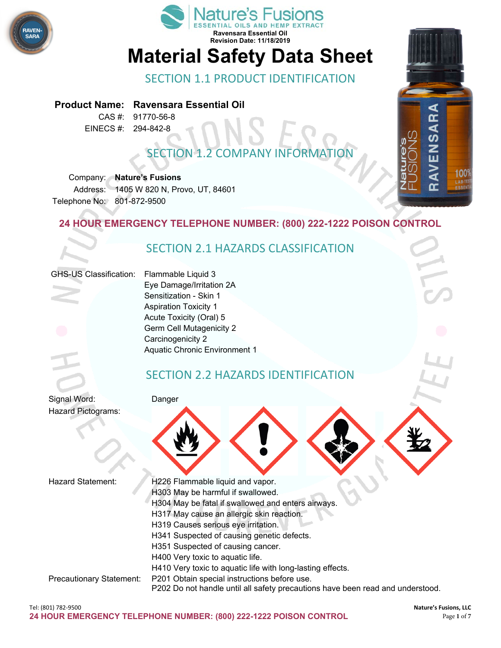



# **Material Safety Data Sheet**

SECTION 1.1 PRODUCT IDENTIFICATION

#### **Product Name: Ravensara Essential Oil**

CAS #: 91770-56-8 EINECS #: 294-842-8

## **SECTION 1.2 COMPANY INFORMAT**

Company: **Nature's Fusions** Address: 1405 W 820 N, Provo, UT, 84601 Telephone No: 801-872-9500

### **24 HOUR EMERGENCY TELEPHONE NUMBER: (800) 222-1222 POISON CONTROL**

### SECTION 2.1 HAZARDS CLASSIFICATION

#### GHS-US Classification: Flammable Liquid 3

Eye Damage/Irritation 2A Sensitization - Skin 1 Aspiration Toxicity 1 Acute Toxicity (Oral) 5 Germ Cell Mutagenicity 2 Carcinogenicity 2 Aquatic Chronic Environment 1

### SECTION 2.2 HAZARDS IDENTIFICATION



Hazard Statement: H226 Flammable liquid and vapor. H303 May be harmful if swallowed. H304 May be fatal if swallowed and enters airways. H317 May cause an allergic skin reaction. H319 Causes serious eye irritation. H341 Suspected of causing genetic defects. H351 Suspected of causing cancer. H400 Very toxic to aquatic life. H410 Very toxic to aquatic life with long-lasting effects. Precautionary Statement: P201 Obtain special instructions before use. P202 Do not handle until all safety precautions have been read and understood.

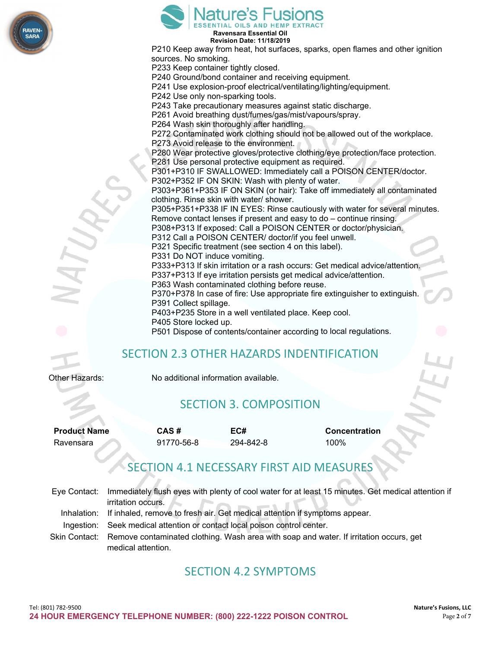

|                     | sources. No smoking.<br>P391 Collect spillage. | <b>Ature's Fusions</b><br>Ravensara Essential Oil<br><b>Revision Date: 11/18/2019</b><br>P233 Keep container tightly closed.<br>P240 Ground/bond container and receiving equipment.<br>P242 Use only non-sparking tools.<br>P261 Avoid breathing dust/fumes/gas/mist/vapours/spray.<br>P264 Wash skin thoroughly after handling.<br>P273 Avoid release to the environment.<br>P281 Use personal protective equipment as required.<br>P302+P352 IF ON SKIN: Wash with plenty of water.<br>clothing. Rinse skin with water/ shower.<br>P312 Call a POISON CENTER/ doctor/if you feel unwell.<br>P321 Specific treatment (see section 4 on this label).<br>P331 Do NOT induce vomiting.<br>P363 Wash contaminated clothing before reuse.<br>P403+P235 Store in a well ventilated place. Keep cool. | P210 Keep away from heat, hot surfaces, sparks, open flames and other ignition<br>P241 Use explosion-proof electrical/ventilating/lighting/equipment.<br>P243 Take precautionary measures against static discharge.<br>P272 Contaminated work clothing should not be allowed out of the workplace.<br>P280 Wear protective gloves/protective clothing/eye protection/face protection.<br>P301+P310 IF SWALLOWED: Immediately call a POISON CENTER/doctor.<br>P303+P361+P353 IF ON SKIN (or hair): Take off immediately all contaminated<br>P305+P351+P338 IF IN EYES: Rinse cautiously with water for several minutes.<br>Remove contact lenses if present and easy to do - continue rinsing.<br>P308+P313 If exposed: Call a POISON CENTER or doctor/physician.<br>P333+P313 If skin irritation or a rash occurs: Get medical advice/attention.<br>P337+P313 If eye irritation persists get medical advice/attention.<br>P370+P378 In case of fire: Use appropriate fire extinguisher to extinguish. |  |
|---------------------|------------------------------------------------|-------------------------------------------------------------------------------------------------------------------------------------------------------------------------------------------------------------------------------------------------------------------------------------------------------------------------------------------------------------------------------------------------------------------------------------------------------------------------------------------------------------------------------------------------------------------------------------------------------------------------------------------------------------------------------------------------------------------------------------------------------------------------------------------------|-------------------------------------------------------------------------------------------------------------------------------------------------------------------------------------------------------------------------------------------------------------------------------------------------------------------------------------------------------------------------------------------------------------------------------------------------------------------------------------------------------------------------------------------------------------------------------------------------------------------------------------------------------------------------------------------------------------------------------------------------------------------------------------------------------------------------------------------------------------------------------------------------------------------------------------------------------------------------------------------------------|--|
|                     | P405 Store locked up.                          |                                                                                                                                                                                                                                                                                                                                                                                                                                                                                                                                                                                                                                                                                                                                                                                                 |                                                                                                                                                                                                                                                                                                                                                                                                                                                                                                                                                                                                                                                                                                                                                                                                                                                                                                                                                                                                       |  |
|                     |                                                |                                                                                                                                                                                                                                                                                                                                                                                                                                                                                                                                                                                                                                                                                                                                                                                                 | P501 Dispose of contents/container according to local regulations.                                                                                                                                                                                                                                                                                                                                                                                                                                                                                                                                                                                                                                                                                                                                                                                                                                                                                                                                    |  |
|                     |                                                |                                                                                                                                                                                                                                                                                                                                                                                                                                                                                                                                                                                                                                                                                                                                                                                                 | <b>SECTION 2.3 OTHER HAZARDS INDENTIFICATION</b>                                                                                                                                                                                                                                                                                                                                                                                                                                                                                                                                                                                                                                                                                                                                                                                                                                                                                                                                                      |  |
| Other Hazards:      |                                                | No additional information available.                                                                                                                                                                                                                                                                                                                                                                                                                                                                                                                                                                                                                                                                                                                                                            |                                                                                                                                                                                                                                                                                                                                                                                                                                                                                                                                                                                                                                                                                                                                                                                                                                                                                                                                                                                                       |  |
|                     |                                                | <b>SECTION 3. COMPOSITION</b>                                                                                                                                                                                                                                                                                                                                                                                                                                                                                                                                                                                                                                                                                                                                                                   |                                                                                                                                                                                                                                                                                                                                                                                                                                                                                                                                                                                                                                                                                                                                                                                                                                                                                                                                                                                                       |  |
| <b>Product Name</b> | CAS#                                           | EC#                                                                                                                                                                                                                                                                                                                                                                                                                                                                                                                                                                                                                                                                                                                                                                                             | <b>Concentration</b>                                                                                                                                                                                                                                                                                                                                                                                                                                                                                                                                                                                                                                                                                                                                                                                                                                                                                                                                                                                  |  |

Ravensara 91770-56-8 294-842-8 100%

 $\sim$ 

# SECTION 4.1 NECESSARY FIRST AID MEASURES

| Eve Contact: | Immediately flush eyes with plenty of cool water for at least 15 minutes. Get medical attention if   |
|--------------|------------------------------------------------------------------------------------------------------|
|              | irritation occurs.                                                                                   |
|              | Inhalation: If inhaled, remove to fresh air. Get medical attention if symptoms appear.               |
|              | Ingestion: Seek medical attention or contact local poison control center.                            |
|              | Skin Contact: Remove contaminated clothing. Wash area with soap and water. If irritation occurs, get |
|              | medical attention.                                                                                   |

### SECTION 4.2 SYMPTOMS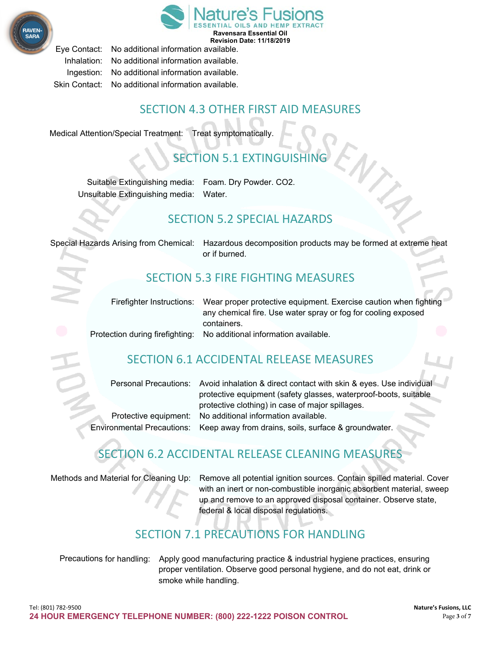



Eye Contact: No additional information available. Inhalation: No additional information available. Ingestion: No additional information available. Skin Contact: No additional information available.

### SECTION 4.3 OTHER FIRST AID MEASURES

Medical Attention/Special Treatment: Treat symptomatically.

## SECTION 5.1 EXTINGUISHING

Suitable Extinguishing media: Foam. Dry Powder. CO2. Unsuitable Extinguishing media: Water.

### SECTION 5.2 SPECIAL HAZARDS

Special Hazards Arising from Chemical: Hazardous decomposition products may be formed at extreme heat or if burned.

### SECTION 5.3 FIRE FIGHTING MEASURES

| Firefighter Instructions: Wear proper protective equipment. Exercise caution when fighting |
|--------------------------------------------------------------------------------------------|
| any chemical fire. Use water spray or fog for cooling exposed<br>containers.               |
| Protection during firefighting: No additional information available.                       |

### SECTION 6.1 ACCIDENTAL RELEASE MEASURES

|  | Personal Precautions: Avoid inhalation & direct contact with skin & eyes. Use individual |  |
|--|------------------------------------------------------------------------------------------|--|
|  | protective equipment (safety glasses, waterproof-boots, suitable                         |  |
|  | protective clothing) in case of major spillages.                                         |  |
|  | Protective equipment: No additional information available.                               |  |
|  | nvironmental Precautions: Keep away from drains, soils, surface & groundwater.           |  |

### SECTION 6.2 ACCIDENTAL RELEASE CLEANING MEASURES

Methods and Material for Cleaning Up: Remove all potential ignition sources. Contain spilled material. Cover with an inert or non-combustible inorganic absorbent material, sweep up and remove to an approved disposal container. Observe state, federal & local disposal regulations.

### SECTION 7.1 PRECAUTIONS FOR HANDLING

Precautions for handling: Apply good manufacturing practice & industrial hygiene practices, ensuring proper ventilation. Observe good personal hygiene, and do not eat, drink or smoke while handling.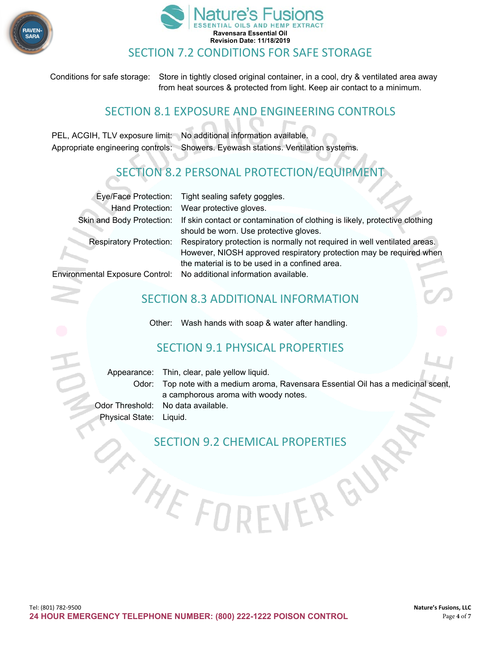



Conditions for safe storage: Store in tightly closed original container, in a cool, dry & ventilated area away from heat sources & protected from light. Keep air contact to a minimum.

### SECTION 8.1 EXPOSURE AND ENGINEERING CONTROLS

PEL, ACGIH, TLV exposure limit: No additional information available. Appropriate engineering controls: Showers. Eyewash stations. Ventilation systems.

### SECTION 8.2 PERSONAL PROTECTION/EQUIPMENT

|                                  | Eye/Face Protection: Tight sealing safety goggles.                          |
|----------------------------------|-----------------------------------------------------------------------------|
|                                  | Hand Protection: Wear protective gloves.                                    |
| <b>Skin and Body Protection:</b> | If skin contact or contamination of clothing is likely, protective clothing |
|                                  | should be worn. Use protective gloves.                                      |
| <b>Respiratory Protection:</b>   | Respiratory protection is normally not required in well ventilated areas.   |
|                                  | However, NIOSH approved respiratory protection may be required when         |
|                                  | the material is to be used in a confined area.                              |
|                                  | Environmental Exposure Control: No additional information available.        |
|                                  |                                                                             |

### SECTION 8.3 ADDITIONAL INFORMATION

Other: Wash hands with soap & water after handling.

### SECTION 9.1 PHYSICAL PROPERTIES

|                         | Appearance: Thin, clear, pale yellow liquid.                                       |  |
|-------------------------|------------------------------------------------------------------------------------|--|
|                         | Odor: Top note with a medium aroma, Ravensara Essential Oil has a medicinal scent, |  |
|                         | a camphorous aroma with woody notes.                                               |  |
|                         | Odor Threshold: No data available.                                                 |  |
| Physical State: Liquid. |                                                                                    |  |

ERGU

SECTION 9.2 CHEMICAL PROPERTIES

E FI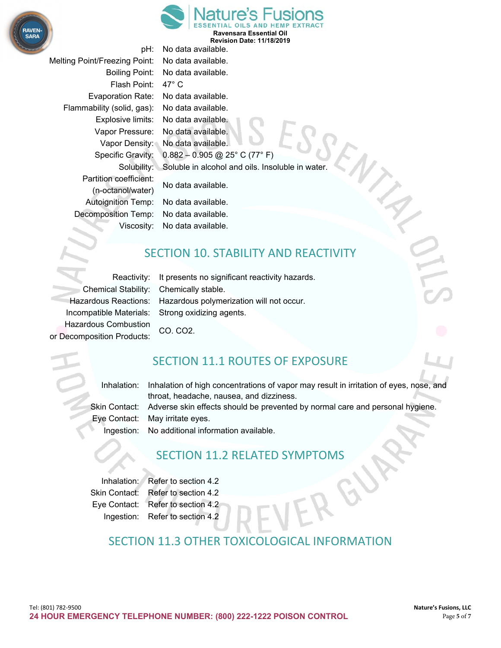

**Ravensara Essential Oil Revision Date: 11/18/2019**

Melting Point/Freezing Point: No data available. Flash Point: 47° C Evaporation Rate: No data available. Flammability (solid, gas): No data available. Partition coefficient: Autoignition Temp: No data available. Decomposition Temp: No data available.

pH: No data available. Boiling Point: No data available. Explosive limits: No data available. Vapor Pressure: No data available. Vapor Density: No data available. Specific Gravity: 0.882 – 0.905 @ 25° C (77° F) Solubility: Soluble in alcohol and oils. Insoluble in water. No data available. (n-octanol/water)

Viscosity: No data available.

### SECTION 10. STABILITY AND REACTIVITY

Chemical Stability: Chemically stable. Incompatible Materials: Strong oxidizing agents. Hazardous Combustion CO. CO2. or Decomposition Products:

Reactivity: It presents no significant reactivity hazards. Hazardous Reactions: Hazardous polymerization will not occur.

### SECTION 11.1 ROUTES OF EXPOSURE

Inhalation: Inhalation of high concentrations of vapor may result in irritation of eyes, nose, and throat, headache, nausea, and dizziness. Skin Contact: Adverse skin effects should be prevented by normal care and personal hygiene. Eye Contact: May irritate eyes. Ingestion: No additional information available.

### SECTION 11.2 RELATED SYMPTOMS

Inhalation: Refer to section 4.2 Skin Contact: Refer to section 4.2 Eye Contact: Refer to section 4.2 Ingestion: Refer to section 4.2

### SECTION 11.3 OTHER TOXICOLOGICAL INFORMATION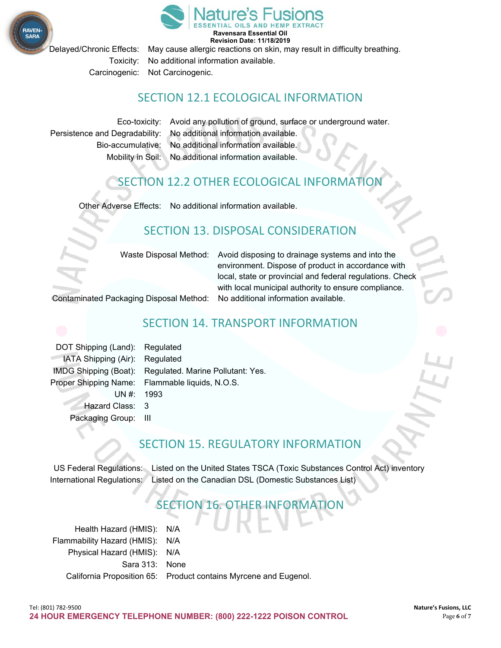



**Ravensara Essential Oil Revision Date: 11/18/2019**

Delayed/Chronic Effects: May cause allergic reactions on skin, may result in difficulty breathing.

Toxicity: No additional information available.

Carcinogenic: Not Carcinogenic.

### SECTION 12.1 ECOLOGICAL INFORMATION

Eco-toxicity: Avoid any pollution of ground, surface or underground water. Persistence and Degradability: No additional information available. Bio-accumulative: No additional information available. Mobility in Soil: No additional information available.

### SECTION 12.2 OTHER ECOLOGICAL INFORMATION

Other Adverse Effects: No additional information available.

### SECTION 13. DISPOSAL CONSIDERATION

Waste Disposal Method: Avoid disposing to drainage systems and into the environment. Dispose of product in accordance with local, state or provincial and federal regulations. Check with local municipal authority to ensure compliance.

Contaminated Packaging Disposal Method: No additional information available.

### SECTION 14. TRANSPORT INFORMATION

DOT Shipping (Land): Regulated IATA Shipping (Air): Regulated IMDG Shipping (Boat): Regulated. Marine Pollutant: Yes. Proper Shipping Name: Flammable liquids, N.O.S.  $UN#: 1993$ Hazard Class: 3 Packaging Group: III

### SECTION 15, REGULATORY INFORMATION

US Federal Regulations: Listed on the United States TSCA (Toxic Substances Control Act) inventory International Regulations: Listed on the Canadian DSL (Domestic Substances List)

### SECTION 16. OTHER INFORMATION

Health Hazard (HMIS): N/A Flammability Hazard (HMIS): N/A Physical Hazard (HMIS): N/A Sara 313: None California Proposition 65: Product contains Myrcene and Eugenol.